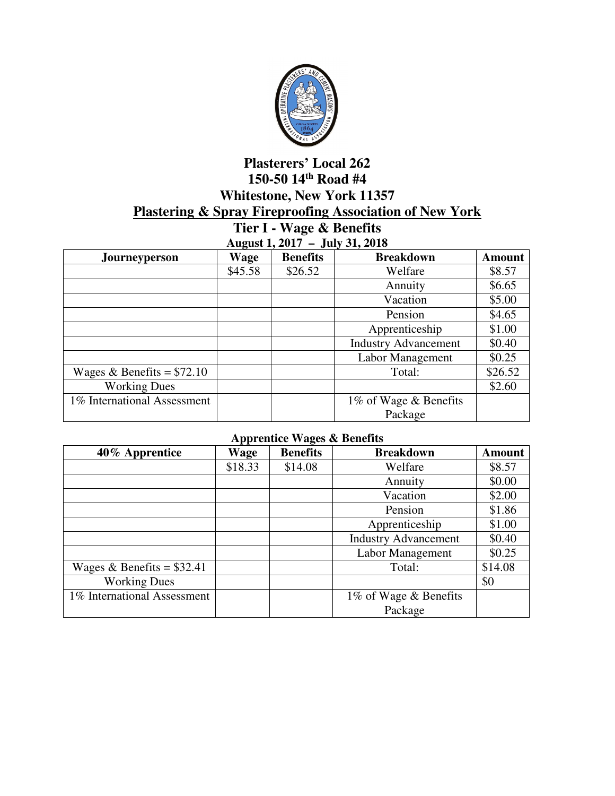

## **Plasterers' Local 262 150-50 14th Road #4 Whitestone, New York 11357 Plastering & Spray Fireproofing Association of New York**

**Tier I - Wage & Benefits August 1, 2017 – July 31, 2018** 

| $1.14$ $\mu$<br>$J^{\mu\nu}$ , $\sigma^{\mu}$ , $\sigma^{\nu}$ |         |                 |                             |               |  |
|----------------------------------------------------------------|---------|-----------------|-----------------------------|---------------|--|
| <b>Journeyperson</b>                                           | Wage    | <b>Benefits</b> | <b>Breakdown</b>            | <b>Amount</b> |  |
|                                                                | \$45.58 | \$26.52         | Welfare                     | \$8.57        |  |
|                                                                |         |                 | Annuity                     | \$6.65        |  |
|                                                                |         |                 | Vacation                    | \$5.00        |  |
|                                                                |         |                 | Pension                     | \$4.65        |  |
|                                                                |         |                 | Apprenticeship              | \$1.00        |  |
|                                                                |         |                 | <b>Industry Advancement</b> | \$0.40        |  |
|                                                                |         |                 | Labor Management            | \$0.25        |  |
| Wages & Benefits = $$72.10$                                    |         |                 | Total:                      | \$26.52       |  |
| <b>Working Dues</b>                                            |         |                 |                             | \$2.60        |  |
| 1% International Assessment                                    |         |                 | 1% of Wage & Benefits       |               |  |
|                                                                |         |                 | Package                     |               |  |

## **Apprentice Wages & Benefits**

| 40% Apprentice              | Wage    | <b>Benefits</b> | <b>Breakdown</b>            | <b>Amount</b> |
|-----------------------------|---------|-----------------|-----------------------------|---------------|
|                             | \$18.33 | \$14.08         | Welfare                     | \$8.57        |
|                             |         |                 | Annuity                     | \$0.00        |
|                             |         |                 | Vacation                    | \$2.00        |
|                             |         |                 | Pension                     | \$1.86        |
|                             |         |                 | Apprenticeship              | \$1.00        |
|                             |         |                 | <b>Industry Advancement</b> | \$0.40        |
|                             |         |                 | Labor Management            | \$0.25        |
| Wages & Benefits = $$32.41$ |         |                 | Total:                      | \$14.08       |
| <b>Working Dues</b>         |         |                 |                             | \$0           |
| 1% International Assessment |         |                 | 1% of Wage & Benefits       |               |
|                             |         |                 | Package                     |               |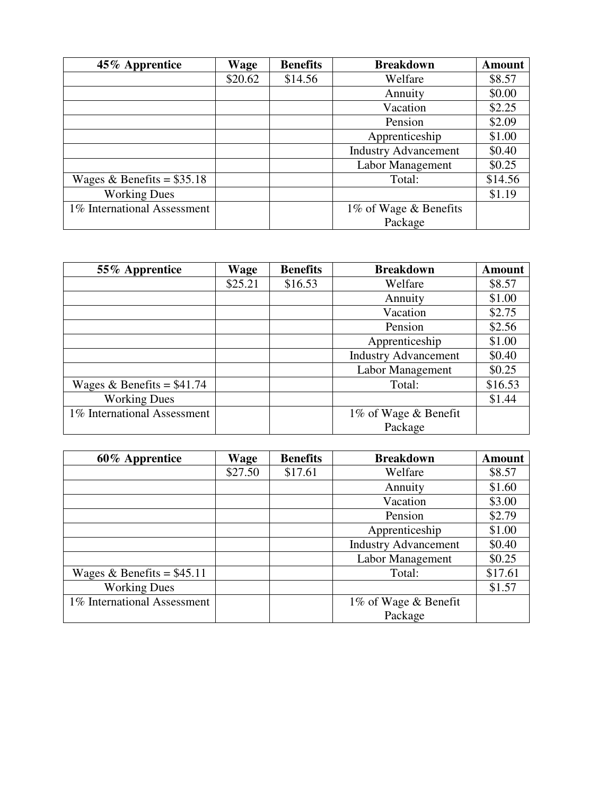| 45% Apprentice              | Wage    | <b>Benefits</b> | <b>Breakdown</b>            | <b>Amount</b> |
|-----------------------------|---------|-----------------|-----------------------------|---------------|
|                             | \$20.62 | \$14.56         | Welfare                     | \$8.57        |
|                             |         |                 | Annuity                     | \$0.00        |
|                             |         |                 | Vacation                    | \$2.25        |
|                             |         |                 | Pension                     | \$2.09        |
|                             |         |                 | Apprenticeship              | \$1.00        |
|                             |         |                 | <b>Industry Advancement</b> | \$0.40        |
|                             |         |                 | Labor Management            | \$0.25        |
| Wages & Benefits = $$35.18$ |         |                 | Total:                      | \$14.56       |
| <b>Working Dues</b>         |         |                 |                             | \$1.19        |
| 1% International Assessment |         |                 | 1% of Wage & Benefits       |               |
|                             |         |                 | Package                     |               |

| 55% Apprentice              | Wage    | <b>Benefits</b> | <b>Breakdown</b>            | <b>Amount</b> |
|-----------------------------|---------|-----------------|-----------------------------|---------------|
|                             | \$25.21 | \$16.53         | Welfare                     | \$8.57        |
|                             |         |                 | Annuity                     | \$1.00        |
|                             |         |                 | Vacation                    | \$2.75        |
|                             |         |                 | Pension                     | \$2.56        |
|                             |         |                 | Apprenticeship              | \$1.00        |
|                             |         |                 | <b>Industry Advancement</b> | \$0.40        |
|                             |         |                 | Labor Management            | \$0.25        |
| Wages & Benefits = $$41.74$ |         |                 | Total:                      | \$16.53       |
| <b>Working Dues</b>         |         |                 |                             | \$1.44        |
| 1% International Assessment |         |                 | 1% of Wage & Benefit        |               |
|                             |         |                 | Package                     |               |

| 60% Apprentice              | Wage    | <b>Benefits</b> | <b>Breakdown</b>            | <b>Amount</b> |
|-----------------------------|---------|-----------------|-----------------------------|---------------|
|                             | \$27.50 | \$17.61         | Welfare                     | \$8.57        |
|                             |         |                 | Annuity                     | \$1.60        |
|                             |         |                 | Vacation                    | \$3.00        |
|                             |         |                 | Pension                     | \$2.79        |
|                             |         |                 | Apprenticeship              | \$1.00        |
|                             |         |                 | <b>Industry Advancement</b> | \$0.40        |
|                             |         |                 | Labor Management            | \$0.25        |
| Wages & Benefits = $$45.11$ |         |                 | Total:                      | \$17.61       |
| <b>Working Dues</b>         |         |                 |                             | \$1.57        |
| 1% International Assessment |         |                 | 1% of Wage & Benefit        |               |
|                             |         |                 | Package                     |               |